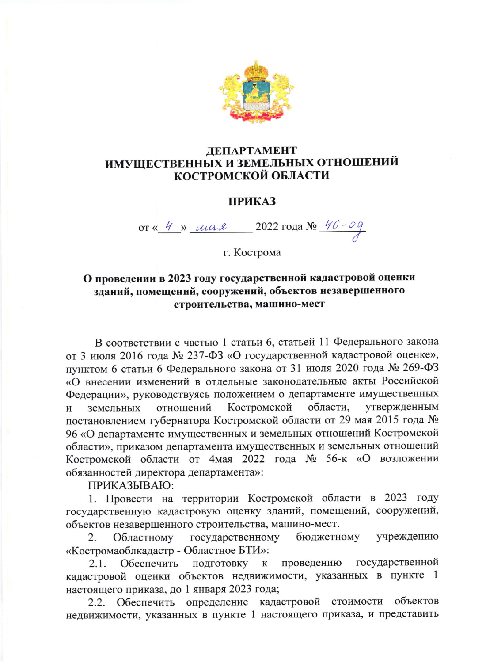

## **ЛЕПАРТАМЕНТ** ИМУЩЕСТВЕННЫХ И ЗЕМЕЛЬНЫХ ОТНОШЕНИЙ **КОСТРОМСКОЙ ОБЛАСТИ**

## **ПРИКАЗ**

от « 4 » шая 2022 года № 46-09

г. Кострома

## О проведении в 2023 году государственной кадастровой оценки зданий, помещений, сооружений, объектов незавершенного строительства, машино-мест

В соответствии с частью 1 статьи 6, статьей 11 Федерального закона от 3 июля 2016 года № 237-ФЗ «О государственной кадастровой оценке», пунктом 6 статьи 6 Федерального закона от 31 июля 2020 года № 269-ФЗ «О внесении изменений в отдельные законодательные акты Российской Федерации», руководствуясь положением о департаменте имущественных области, Костромской утвержденным земельных отношений  $\overline{M}$ постановлением губернатора Костромской области от 29 мая 2015 года № 96 «О департаменте имущественных и земельных отношений Костромской области», приказом департамента имущественных и земельных отношений Костромской области от 4мая 2022 года № 56-к «О возложении обязанностей директора департамента»:

ПРИКАЗЫВАЮ:

1. Провести на территории Костромской области в 2023 году государственную кадастровую оценку зданий, помещений, сооружений, объектов незавершенного строительства, машино-мест.

государственному Областному бюджетному учреждению 2. «Костромаоблкадастр - Областное БТИ»:

государственной проведению Обеспечить подготовку к  $2.1.$ кадастровой оценки объектов недвижимости, указанных в пункте 1 настоящего приказа, до 1 января 2023 года;

Обеспечить определение кадастровой стоимости  $2.2.$ объектов недвижимости, указанных в пункте 1 настоящего приказа, и представить